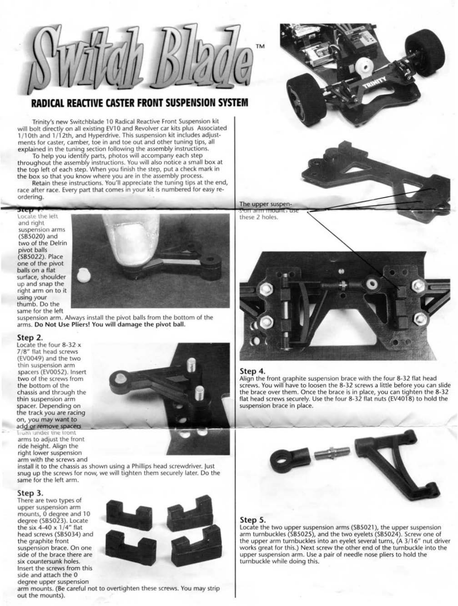

## **RADICAL REACTIVE CASTER FRONT SUSPENSION SYSTEM**

Trinity's new Switchblade 1 0 Radical Reactive Front Suspension kit will bolt directly on all existing EV10 and Revolver car kits plus Associated 1/ 1 Oth and 1 /12th, and Hyperdrive. This suspension kit includes adjust· ments for caster, camber, toe in and toe out and other tuning tips, all explained in the tuning section following the assembly instructions.

**Biep F**:<br>Locate the left and right suspension arms (585020) and two of the Delrin pivot balls (SB5022). Place one of the pivot balls on a flat surface, shoulder up and snap the right arm on to it using your thumb. Do the same for the left



To help you identify parts, photos will accompany each step throughout the assembly instructions. You will also notice a small box at the top left of each step. When you finish the step, put a check mark in the box so that you know where you are in the assembly process.

Step 2.<br>Locate the four 8-32 x *718"* flat head screws (EV0049) and the two thin suspension arm spacers (EV0052). Insert two of the screws from the bottom of the chassis and through the thin suspension arm spacer. Depending on

## the track you are racing on, you may want to<br>add or remove spacers



Retain these instructions. You'll appreciate the tuning tips at the end, race after race. Every part that comes in your kit is numbered for easy reordering.

 $\frac{1}{2}$  *volta vnder the front* arms to adjust the front ride height. Align the right lower suspension arm with the screws and install it to the chassis as shown using a Phillips head screwdriver. just snug up the screws for now, we will tighten them securely later. Do the same for the left arm.

suspension arm. Always install the pivot balls from the bottom of the arms. Do Not Use Pliers! You will damage the pivot ball.

**Step 4.**<br>Align the front graphite suspension brace with the four 8-32 flat head screws. You will have to loosen the 8-32 screws a little before you can slide the brace over them. Once the brace is in place, you can tighten the 8-32 flat head screws securely. Use the four B-32 flat nuts (EV4018) to hold the suspension brace in place.

**Step 5.**<br>Locate the two upper suspension arms (SB5021), the upper suspension arm turnbuckles (585025), and the two eyelets (585024). Screw one of the upper arm turnbuckles into an eyelet several turns, (A 3/16" nut driver works great for this.) Next screw the other end of the turnbuckle into the upper suspension arm. Use a pair of needle nose pliers to hold the turnbuckle while doing this.

### Step 3.

There are two types of upper suspension arm mounts, 0 degree and 10 degree (SB5023). Locate the six 4-40 x 1/4" flat head screws (SB5034) and the graphite front suspension brace. On one side of the brace there are six countersunk holes. Insert the screws from this side and attach the 0 degree upper suspension out the mounts).



arm mounts. (Be careful not to overtighten these screws. You may strip





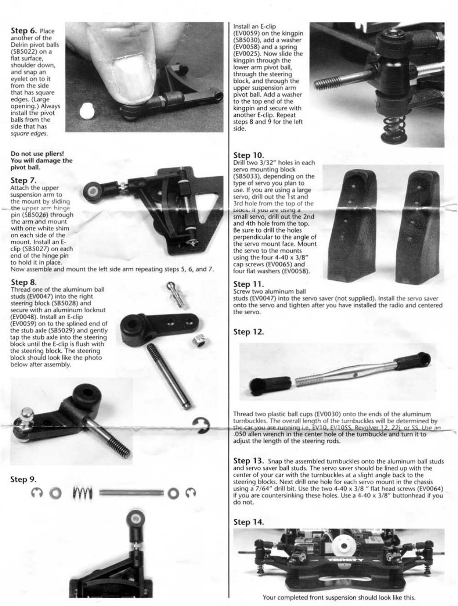Step 6. Place another of the Delrin pivot balls (S85022) on a flat surface, shoulder down, and snap an eyelet on to it from the *side*  that has square edges. (Large opening.) Always install the pivot balls from the side that has square edges.



### Step 7.

studs (EV0047) into the right steering block (585028) and (EV0048). Install an E-c!ip (EV0059) on to the splined end of

Attach the upper suspension arm to the mount by sliding the upper arm hinge pin (S85026) through the arm and mount with one white shim on each side of the mount. Install an Eclip (SB5027) on each end of the hinge pin to hold it in place.

Now assemble and mount the left side arm repeating steps *5,* 6, and *7.* 



Step 10.<br>Drill two 3/32" holes in each servo mounting block (585033), depending on the type of servo you plan to use. If you are using a large servo, drill out the 1st and 3rd hole from the top of the block. If you are using a small servo, drill out the 2nd and 4th hole from the top. Be sure to drill the holes perpendicular to the angle of the servo mount face. Mount the *servo* to the mounts using the four 4-40 x 3/8" cap *screws* (EV0065) and four flat washers (EV0058).



Step 11.<br>Screw two aluminum ball

Install an E-clip (EV0059) on the kingpin (585030), add a washer (EV0058) and a spring (EV0025). Now slide the kingpin through the lower arm pivot ball, through the steering block, and through the upper suspension arm pivot ball. Add a washer to the top end of the kingpin and secure with another E-clip. Repeat *steps* 8 and 9 for the left side.



**Step 13.** Snap the assembled turnbuckles onto the aluminum ball studs and servo saver ball studs. The servo *saver* should be lined up with the center of your car with the turnbuckles at a slight angle back to the steering blocks. Next drill one hole for each servo mount in the chassis using a 7/64" drill bit. Use the two 4-40 x 3/8 " flat head screws (EV0064) if you are countersinking these holes. Use a 4-40 x 3/8" bultonhead if you do not.

studs (EV0047) into the servo saver (not supplied). Install the servo saver onto the servo and tighten after you have installed the radio and centered the servo.

Step 12.



Thread two plastic ball cups (EV0030) onto the *ends* of the aluminum turnbuckles. The overall length of the turnbuckles will be determined by the car you are running i.e. EV10, EV10SS. Revolver 12, 22j, or SS. Use an .050 allen wrench in the center hole of the turnbuckle and turn it to adjust the length of the steering rods.

### Step 14.



Your completed front suspension should look like this.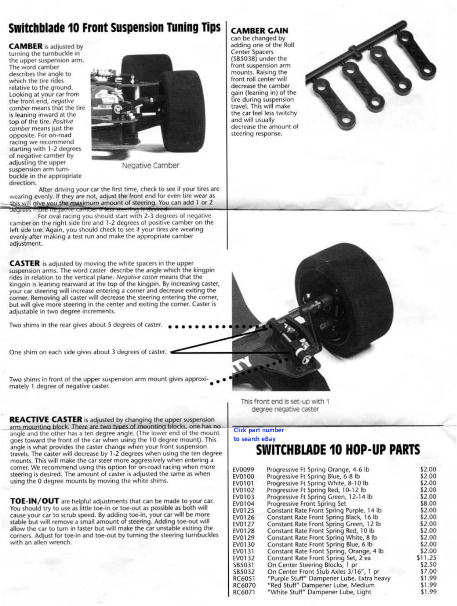# **Switchblade 10 Front suspension Tuning Tips**

**CAMBER** is adjusted by turning the turnbuckle in the upper suspension arm. The word camber describes the angle to which the tire rides relative to the ground. Looking at your car from the front end, negative comber means that the tire is leaning inward at the top of the tire. Positive comber means just the opposite. For on-road racing we recommend starting with 1-2 degrees of negative camber by adjusting the upper<br>
Negative Camber suspension arm turnbuckle in the appropriate direction.



After driving your car the first time, check to see if your tires are wearing evenly. If they are not, adjust the front end for even tire wear as this will give you the maximum amount of steering. You can add 1 or 2

degrees more negative cannoer if less steering is desired.<br>For oval racing you should start with 2-3 degrees of negative camber on the right side tire and 1-2 degrees of positive camber on the left side tire. Again, you should check to see if your tires are wearing evenly after making a test run and make the appropriate camber adjustment.

**CASTER** is adjusted by moving the white spacers in the upper suspension arms. The word caster describe the angle which the kingpin rides in relation to the vertical plane. Negative caster means that the kingpin is leaning rearward at the top of the kingpin. By increasing caster, your car steering will increase entering a corner and decrease exiling the corner. Removing all caster will decrease the steering entering the corner, but will give more steering in the center and exiting the comer. Caster is adjustable in two degree increments.

Two shims in the rear gives about 5 degrees of caster.

One shim on each side gives about 3 degrees of caster.

Two shims in front of the upper suspension arm mount gives approximately 1 degree of negative caster.

| <b>Click part number</b> |                                           |         |
|--------------------------|-------------------------------------------|---------|
| to search eBay           |                                           |         |
|                          | SWITCHBLADE 10 HOP-UP PARTS               |         |
| EV0099                   | Progressive Ft Spring Orange, 4-6 lb      | \$2.00  |
| EV0100                   | Progressive Ft Spring Blue, 6-8 lb        | \$2.00  |
| EV0101                   | Progressive Ft Spring White, 8-10 lb      | \$2.00  |
| EV0102                   | Progressive Ft Spring Red, 10-12 lb       | \$2.00  |
| EV0103                   | Progressive Ft Spring Green, 12-14 lb     | \$2.00  |
| EV0104                   | Progressive Front Spring Set              | \$8.00  |
| EV0125                   | Constant Rate Front Spring Purple, 14 lb  | \$2.00  |
| EV0126                   | Constant Rate Front Spring Black, 16 lb   | \$2.00  |
| EV0127                   | Constant Rate Front Spring Green, 12 lb   | \$2.00  |
| EV0128                   | Constant Rate Front Spring Red, 10 lb     | \$2.00  |
| EV0129                   | Constant Rate Front Spring White, 8 lb    | \$2.00  |
| EV0130                   | Constant Rate Front Spring Blue, 6 lb     | \$2.00  |
| EV0131                   | Constant Rate Front Spring, Orange, 4 lb  | \$2.00  |
| EV0132                   | Constant Rate Front Spring Set, 2 ea      | \$11.25 |
| SB5031                   | On Center Steering Blocks, 1 pr           | \$2.50  |
| SB5032                   | On Center Front Stub Axles 3/16", 1 pr    | \$7.00  |
| RC6051                   | "Purple Stuff" Dampener Lube. Extra heavy | \$1.99  |
| RC6070                   | "Red Stuff" Dampener Lube, Medium         | \$1.99  |
| RC6071                   | "White Stuff" Dampener Lube, Light        | \$1.99  |

## **CAMBER GAIN**

can be changed by adding one of the Roll Center Spacers (SB5038) under the front suspension arm mounts. Raising the front roll center will decrease the camber gain (leaning in) of the tire during suspension travel. This will make the car feel less twitchy and will usually decrease the amount of steering response.



This front end is set-up with 1 degree negative caster

**REACTIVE CASTER** is adjusted by changing the upper suspension arm mounting block. There are two types of mounting blocks, one has no  $\overline{\phantom{a}}$  Click part number angle and the other has a ten degree angle. (The lower end of the moum goes toward the front of the car when using the 10 degree mount). This angle is what provides the caster change when your front suspension travels. The caster will decrease by 1-2 degrees when using the ten degree mounts. This will make the car steer more aggressively when entering a comer. We recommend using this option for on-road racing when more steering is desired. The amount of caster is adjusted the same as when using the 0 degree mounts by moving the white shims.

**TOE-IN/ OUT** are helpful adjustments that can be made to your car. You should try to use as little toe-in or toe-out as possible as both will cause your car to scrub speed. By adding toe-in, your car will be more stable but will remove a small amount of steering. Adding toe-out will allow the car to turn in faster but will make the car unstable exiting the corners. Adjust for toe-in and toe-out by turning the steering turnbuckles with an allen wrench.

### **to search eBay**

# **SWITCHBLADE 10 HOP-UP PARTS**